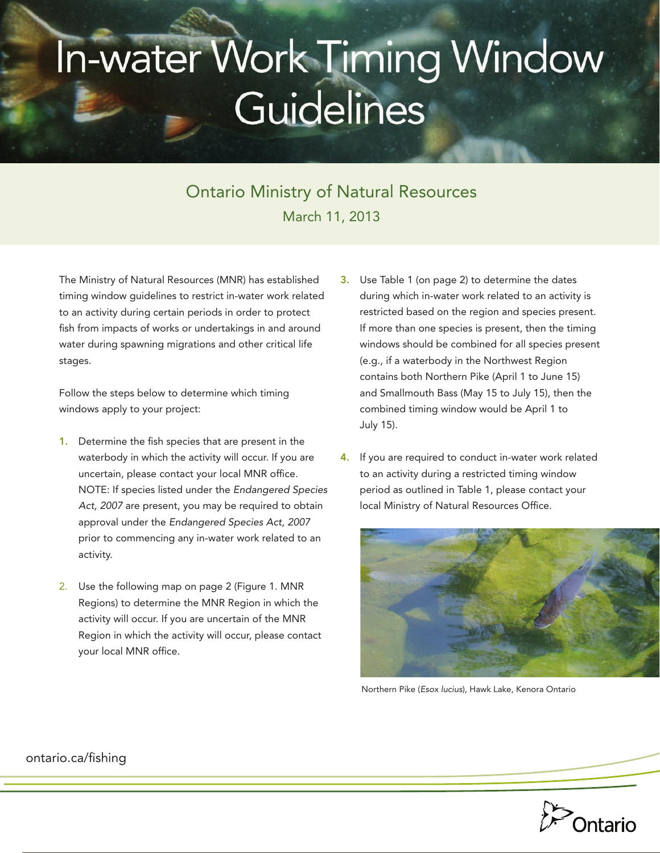## In-water Work Timing Window Guidelines

## Ontario Ministry of Natural Resources March 11, 2013

The Ministry of Natural Resources (MNR) has established timing window guidelines to restrict in-water work related to an activity during certain periods in order to protect fish from impacts of works or undertakings in and around water during spawning migrations and other critical life stages.

Follow the steps below to determine which timing windows apply to your project:

- 1. Determine the fish species that are present in the waterbody in which the activity will occur. If you are uncertain, please contact your local MNR office. NOTE: If species listed under the *Endangered Species Act, 2007* are present, you may be required to obtain approval under the *Endangered Species Act, 2007* prior to commencing any in-water work related to an activity.
- 2. Use the following map on page 2 (Figure 1. MNR Regions) to determine the MNR Region in which the activity will occur. If you are uncertain of the MNR Region in which the activity will occur, please contact your local MNR office.
- 3. Use Table 1 (on page 2) to determine the dates during which in-water work related to an activity is restricted based on the region and species present. If more than one species is present, then the timing windows should be combined for all species present (e.g., if a waterbody in the Northwest Region contains both Northern Pike (April 1 to June 15) and Smallmouth Bass (May 15 to July 15), then the combined timing window would be April 1 to July 15).
- If you are required to conduct in-water work related to an activity during a restricted timing window period as outlined in Table 1, please contact your local Ministry of Natural Resources Office.



Northern Pike (*Esox lucius*), Hawk Lake, Kenora Ontario



## [ontario.ca/fishing](http://ontario.ca/invasivespecies)